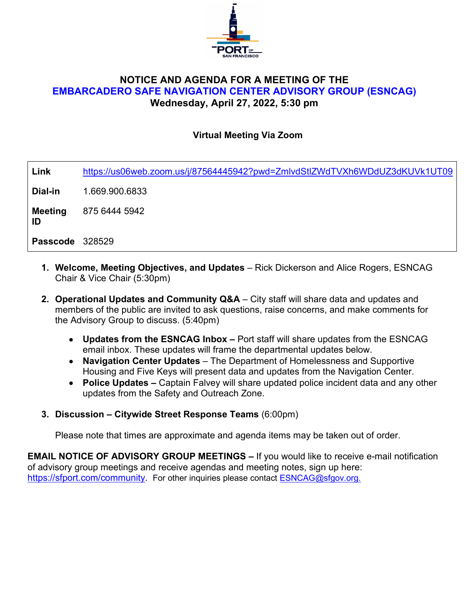

# **NOTICE AND AGENDA FOR A MEETING OF THE EMBARCADERO SAFE NAVIGATION CENTER ADVISORY GROUP (ESNCAG) Wednesday, April 27, 2022, 5:30 pm**

#### **Virtual Meeting Via Zoom**

| Link                 | https://us06web.zoom.us/j/87564445942?pwd=ZmlvdStlZWdTVXh6WDdUZ3dKUVk1UT09 |
|----------------------|----------------------------------------------------------------------------|
| Dial-in              | 1.669.900.6833                                                             |
| <b>Meeting</b><br>ID | 875 6444 5942                                                              |
| Passcode 328529      |                                                                            |
|                      |                                                                            |

- **1. Welcome, Meeting Objectives, and Updates** Rick Dickerson and Alice Rogers, ESNCAG Chair & Vice Chair (5:30pm)
- **2. Operational Updates and Community Q&A**  City staff will share data and updates and members of the public are invited to ask questions, raise concerns, and make comments for the Advisory Group to discuss. (5:40pm)
	- **Updates from the ESNCAG Inbox** Port staff will share updates from the ESNCAG email inbox. These updates will frame the departmental updates below.
	- **Navigation Center Updates**  The Department of Homelessness and Supportive Housing and Five Keys will present data and updates from the Navigation Center.
	- **Police Updates** Captain Falvey will share updated police incident data and any other updates from the Safety and Outreach Zone.
- **3. Discussion Citywide Street Response Teams** (6:00pm)

Please note that times are approximate and agenda items may be taken out of order.

**EMAIL NOTICE OF ADVISORY GROUP MEETINGS –** If you would like to receive e-mail notification of advisory group meetings and receive agendas and meeting notes, sign up here: [https://sfport.com/community.](https://sfport.com/community) For other inquiries please contact [ESNCAG@sfgov.org.](mailto:ESNCAG@sfgov.org)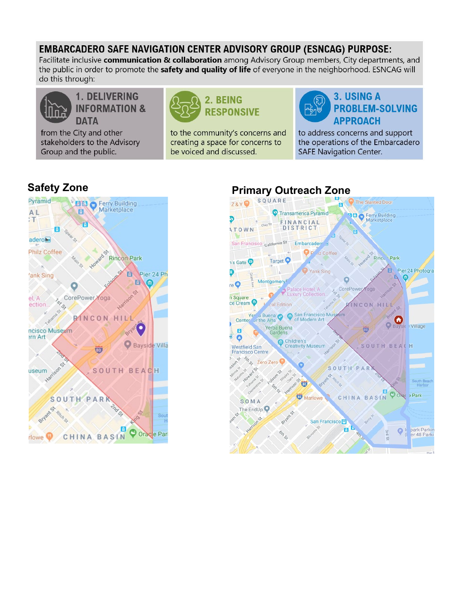# **EMBARCADERO SAFE NAVIGATION CENTER ADVISORY GROUP (ESNCAG) PURPOSE:**

Facilitate inclusive communication & collaboration among Advisory Group members, City departments, and the public in order to promote the **safety and quality of life** of everyone in the neighborhood. ESNCAG will do this through:



**1. DELIVERING INFORMATION & DATA** 

from the City and other stakeholders to the Advisory Group and the public.



to the community's concerns and creating a space for concerns to be voiced and discussed.



to address concerns and support the operations of the Embarcadero **SAFE Navigation Center.** 



# **Safety Zone Primary Outreach Zone Primary Outreach Zone**

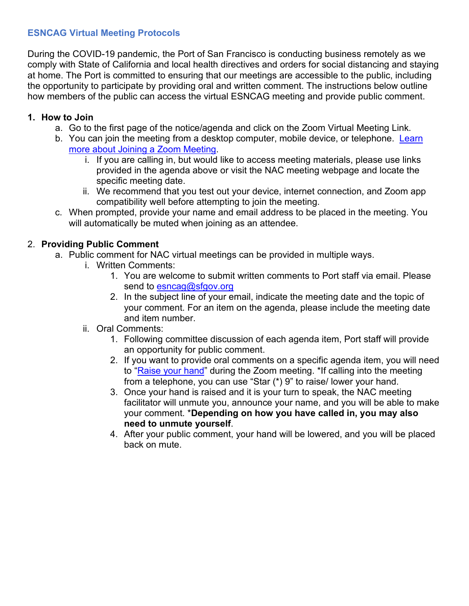# **ESNCAG Virtual Meeting Protocols**

During the COVID-19 pandemic, the Port of San Francisco is conducting business remotely as we comply with State of California and local health directives and orders for social distancing and staying at home. The Port is committed to ensuring that our meetings are accessible to the public, including the opportunity to participate by providing oral and written comment. The instructions below outline how members of the public can access the virtual ESNCAG meeting and provide public comment.

## **1. How to Join**

- a. Go to the first page of the notice/agenda and click on the Zoom Virtual Meeting Link.
- b. You can join the meeting from a desktop computer, mobile device, or telephone. Learn [more about Joining a Zoom Meeting.](https://support.zoom.us/hc/en-us/articles/201362193-Joining-a-Meeting)
	- i. If you are calling in, but would like to access meeting materials, please use links provided in the agenda above or visit the NAC meeting webpage and locate the specific meeting date.
	- ii. We recommend that you test out your device, internet connection, and Zoom app compatibility well before attempting to join the meeting.
- c. When prompted, provide your name and email address to be placed in the meeting. You will automatically be muted when joining as an attendee.

# 2. **Providing Public Comment**

- a. Public comment for NAC virtual meetings can be provided in multiple ways.
	- i. Written Comments:
		- 1. You are welcome to submit written comments to Port staff via email. Please send to esncag@sfgov.org
		- 2. In the subject line of your email, indicate the meeting date and the topic of your comment. For an item on the agenda, please include the meeting date and item number.
	- ii. Oral Comments:
		- 1. Following committee discussion of each agenda item, Port staff will provide an opportunity for public comment.
		- 2. If you want to provide oral comments on a specific agenda item, you will need to ["Raise your hand"](https://support.zoom.us/hc/en-us/articles/205566129-Raise-Hand-In-Webinar) during the Zoom meeting. \*If calling into the meeting from a telephone, you can use "Star (\*) 9" to raise/ lower your hand.
		- 3. Once your hand is raised and it is your turn to speak, the NAC meeting facilitator will unmute you, announce your name, and you will be able to make your comment. \***Depending on how you have called in, you may also need to unmute yourself**.
		- 4. After your public comment, your hand will be lowered, and you will be placed back on mute.